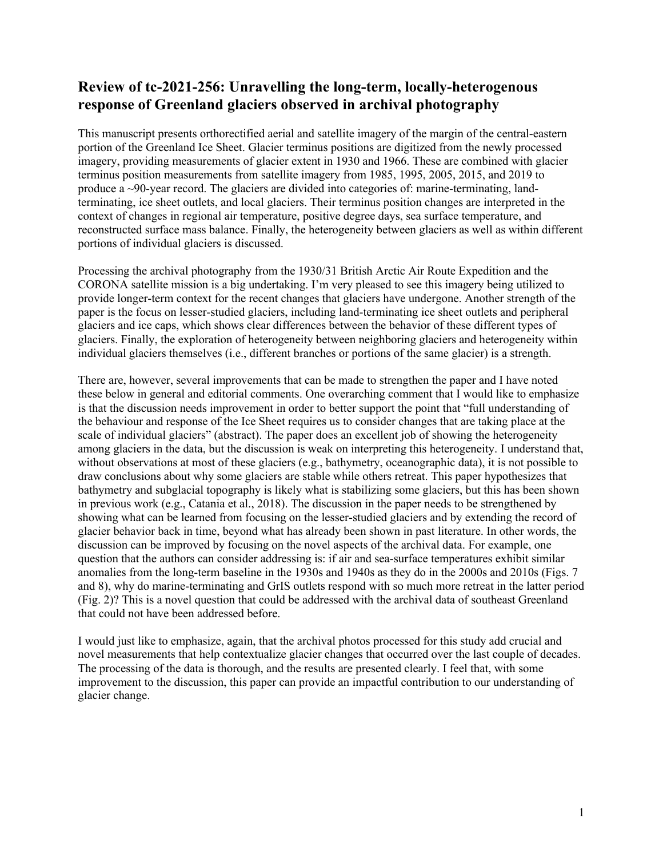## **Review of tc-2021-256: Unravelling the long-term, locally-heterogenous response of Greenland glaciers observed in archival photography**

This manuscript presents orthorectified aerial and satellite imagery of the margin of the central-eastern portion of the Greenland Ice Sheet. Glacier terminus positions are digitized from the newly processed imagery, providing measurements of glacier extent in 1930 and 1966. These are combined with glacier terminus position measurements from satellite imagery from 1985, 1995, 2005, 2015, and 2019 to produce a  $\sim$ 90-year record. The glaciers are divided into categories of: marine-terminating, landterminating, ice sheet outlets, and local glaciers. Their terminus position changes are interpreted in the context of changes in regional air temperature, positive degree days, sea surface temperature, and reconstructed surface mass balance. Finally, the heterogeneity between glaciers as well as within different portions of individual glaciers is discussed.

Processing the archival photography from the 1930/31 British Arctic Air Route Expedition and the CORONA satellite mission is a big undertaking. I'm very pleased to see this imagery being utilized to provide longer-term context for the recent changes that glaciers have undergone. Another strength of the paper is the focus on lesser-studied glaciers, including land-terminating ice sheet outlets and peripheral glaciers and ice caps, which shows clear differences between the behavior of these different types of glaciers. Finally, the exploration of heterogeneity between neighboring glaciers and heterogeneity within individual glaciers themselves (i.e., different branches or portions of the same glacier) is a strength.

There are, however, several improvements that can be made to strengthen the paper and I have noted these below in general and editorial comments. One overarching comment that I would like to emphasize is that the discussion needs improvement in order to better support the point that "full understanding of the behaviour and response of the Ice Sheet requires us to consider changes that are taking place at the scale of individual glaciers" (abstract). The paper does an excellent job of showing the heterogeneity among glaciers in the data, but the discussion is weak on interpreting this heterogeneity. I understand that, without observations at most of these glaciers (e.g., bathymetry, oceanographic data), it is not possible to draw conclusions about why some glaciers are stable while others retreat. This paper hypothesizes that bathymetry and subglacial topography is likely what is stabilizing some glaciers, but this has been shown in previous work (e.g., Catania et al., 2018). The discussion in the paper needs to be strengthened by showing what can be learned from focusing on the lesser-studied glaciers and by extending the record of glacier behavior back in time, beyond what has already been shown in past literature. In other words, the discussion can be improved by focusing on the novel aspects of the archival data. For example, one question that the authors can consider addressing is: if air and sea-surface temperatures exhibit similar anomalies from the long-term baseline in the 1930s and 1940s as they do in the 2000s and 2010s (Figs. 7 and 8), why do marine-terminating and GrIS outlets respond with so much more retreat in the latter period (Fig. 2)? This is a novel question that could be addressed with the archival data of southeast Greenland that could not have been addressed before.

I would just like to emphasize, again, that the archival photos processed for this study add crucial and novel measurements that help contextualize glacier changes that occurred over the last couple of decades. The processing of the data is thorough, and the results are presented clearly. I feel that, with some improvement to the discussion, this paper can provide an impactful contribution to our understanding of glacier change.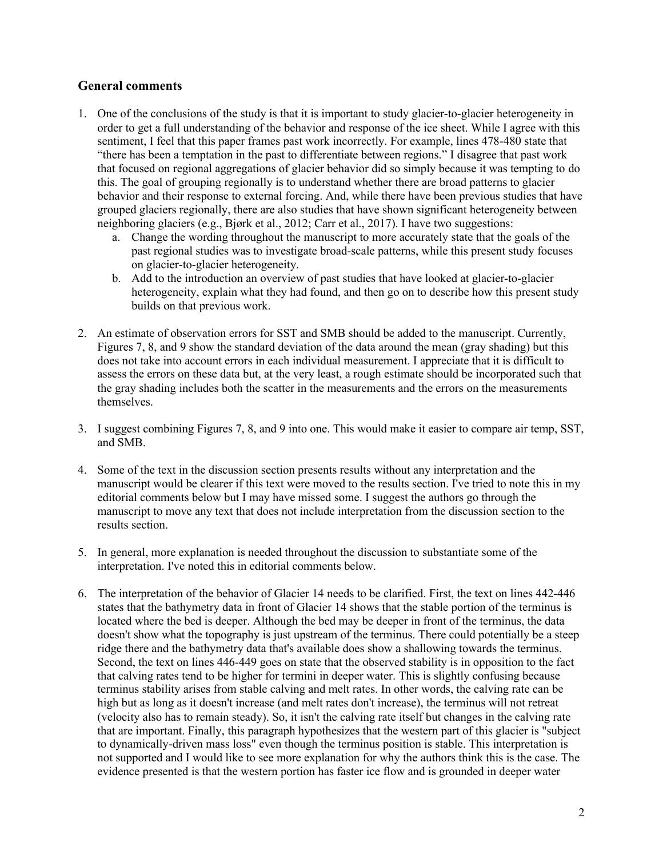## **General comments**

- 1. One of the conclusions of the study is that it is important to study glacier-to-glacier heterogeneity in order to get a full understanding of the behavior and response of the ice sheet. While I agree with this sentiment, I feel that this paper frames past work incorrectly. For example, lines 478-480 state that "there has been a temptation in the past to differentiate between regions." I disagree that past work that focused on regional aggregations of glacier behavior did so simply because it was tempting to do this. The goal of grouping regionally is to understand whether there are broad patterns to glacier behavior and their response to external forcing. And, while there have been previous studies that have grouped glaciers regionally, there are also studies that have shown significant heterogeneity between neighboring glaciers (e.g., Bjørk et al., 2012; Carr et al., 2017). I have two suggestions:
	- a. Change the wording throughout the manuscript to more accurately state that the goals of the past regional studies was to investigate broad-scale patterns, while this present study focuses on glacier-to-glacier heterogeneity.
	- b. Add to the introduction an overview of past studies that have looked at glacier-to-glacier heterogeneity, explain what they had found, and then go on to describe how this present study builds on that previous work.
- 2. An estimate of observation errors for SST and SMB should be added to the manuscript. Currently, Figures 7, 8, and 9 show the standard deviation of the data around the mean (gray shading) but this does not take into account errors in each individual measurement. I appreciate that it is difficult to assess the errors on these data but, at the very least, a rough estimate should be incorporated such that the gray shading includes both the scatter in the measurements and the errors on the measurements themselves.
- 3. I suggest combining Figures 7, 8, and 9 into one. This would make it easier to compare air temp, SST, and SMB.
- 4. Some of the text in the discussion section presents results without any interpretation and the manuscript would be clearer if this text were moved to the results section. I've tried to note this in my editorial comments below but I may have missed some. I suggest the authors go through the manuscript to move any text that does not include interpretation from the discussion section to the results section.
- 5. In general, more explanation is needed throughout the discussion to substantiate some of the interpretation. I've noted this in editorial comments below.
- 6. The interpretation of the behavior of Glacier 14 needs to be clarified. First, the text on lines 442-446 states that the bathymetry data in front of Glacier 14 shows that the stable portion of the terminus is located where the bed is deeper. Although the bed may be deeper in front of the terminus, the data doesn't show what the topography is just upstream of the terminus. There could potentially be a steep ridge there and the bathymetry data that's available does show a shallowing towards the terminus. Second, the text on lines 446-449 goes on state that the observed stability is in opposition to the fact that calving rates tend to be higher for termini in deeper water. This is slightly confusing because terminus stability arises from stable calving and melt rates. In other words, the calving rate can be high but as long as it doesn't increase (and melt rates don't increase), the terminus will not retreat (velocity also has to remain steady). So, it isn't the calving rate itself but changes in the calving rate that are important. Finally, this paragraph hypothesizes that the western part of this glacier is "subject to dynamically-driven mass loss" even though the terminus position is stable. This interpretation is not supported and I would like to see more explanation for why the authors think this is the case. The evidence presented is that the western portion has faster ice flow and is grounded in deeper water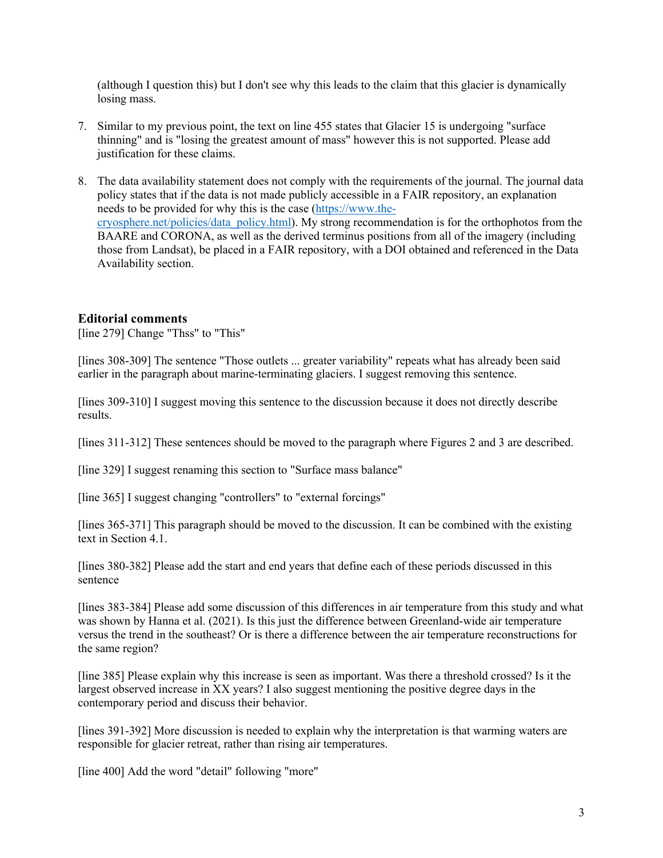(although I question this) but I don't see why this leads to the claim that this glacier is dynamically losing mass.

- 7. Similar to my previous point, the text on line 455 states that Glacier 15 is undergoing "surface thinning" and is "losing the greatest amount of mass" however this is not supported. Please add justification for these claims.
- 8. The data availability statement does not comply with the requirements of the journal. The journal data policy states that if the data is not made publicly accessible in a FAIR repository, an explanation needs to be provided for why this is the case (https://www.thecryosphere.net/policies/data\_policy.html). My strong recommendation is for the orthophotos from the BAARE and CORONA, as well as the derived terminus positions from all of the imagery (including those from Landsat), be placed in a FAIR repository, with a DOI obtained and referenced in the Data Availability section.

## **Editorial comments**

[line 279] Change "Thss" to "This"

[lines 308-309] The sentence "Those outlets ... greater variability" repeats what has already been said earlier in the paragraph about marine-terminating glaciers. I suggest removing this sentence.

[lines 309-310] I suggest moving this sentence to the discussion because it does not directly describe results.

[lines 311-312] These sentences should be moved to the paragraph where Figures 2 and 3 are described.

[line 329] I suggest renaming this section to "Surface mass balance"

[line 365] I suggest changing "controllers" to "external forcings"

[lines 365-371] This paragraph should be moved to the discussion. It can be combined with the existing text in Section 4.1.

[lines 380-382] Please add the start and end years that define each of these periods discussed in this sentence

[lines 383-384] Please add some discussion of this differences in air temperature from this study and what was shown by Hanna et al. (2021). Is this just the difference between Greenland-wide air temperature versus the trend in the southeast? Or is there a difference between the air temperature reconstructions for the same region?

[line 385] Please explain why this increase is seen as important. Was there a threshold crossed? Is it the largest observed increase in XX years? I also suggest mentioning the positive degree days in the contemporary period and discuss their behavior.

[lines 391-392] More discussion is needed to explain why the interpretation is that warming waters are responsible for glacier retreat, rather than rising air temperatures.

[line 400] Add the word "detail" following "more"